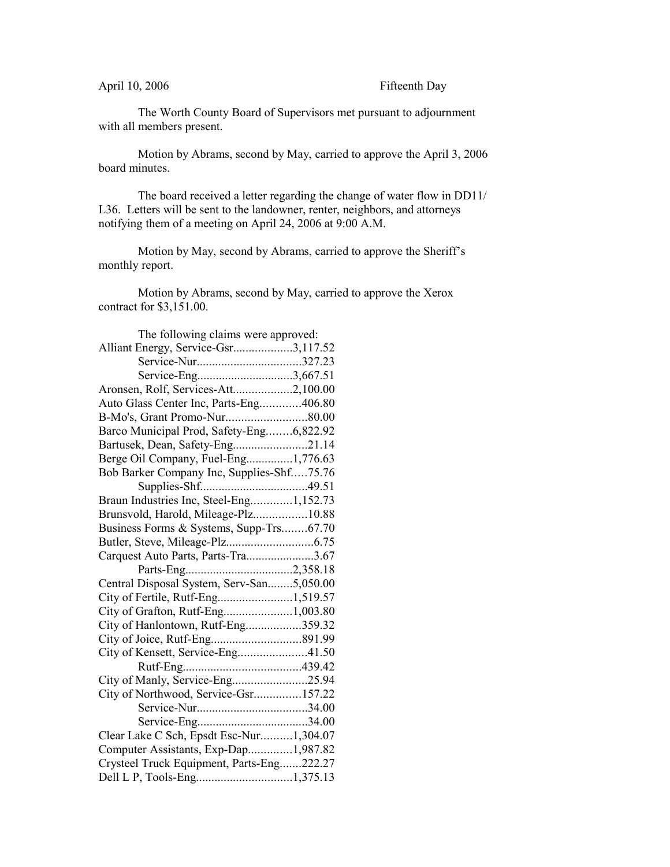## April 10, 2006 Fifteenth Day

The Worth County Board of Supervisors met pursuant to adjournment with all members present.

Motion by Abrams, second by May, carried to approve the April 3, 2006 board minutes.

The board received a letter regarding the change of water flow in DD11/ L36. Letters will be sent to the landowner, renter, neighbors, and attorneys notifying them of a meeting on April 24, 2006 at 9:00 A.M.

Motion by May, second by Abrams, carried to approve the Sheriff's monthly report.

Motion by Abrams, second by May, carried to approve the Xerox contract for \$3,151.00.

| The following claims were approved:       |  |
|-------------------------------------------|--|
| Alliant Energy, Service-Gsr3,117.52       |  |
| Service-Nur327.23                         |  |
| Service-Eng3,667.51                       |  |
| Aronsen, Rolf, Services-Att2,100.00       |  |
| Auto Glass Center Inc, Parts-Eng406.80    |  |
|                                           |  |
| Barco Municipal Prod, Safety-Eng6,822.92  |  |
| Bartusek, Dean, Safety-Eng21.14           |  |
| Berge Oil Company, Fuel-Eng1,776.63       |  |
| Bob Barker Company Inc, Supplies-Shf75.76 |  |
|                                           |  |
| Braun Industries Inc, Steel-Eng1,152.73   |  |
| Brunsvold, Harold, Mileage-Plz10.88       |  |
| Business Forms & Systems, Supp-Trs67.70   |  |
|                                           |  |
| Carquest Auto Parts, Parts-Tra3.67        |  |
|                                           |  |
| Central Disposal System, Serv-San5,050.00 |  |
| City of Fertile, Rutf-Eng1,519.57         |  |
| City of Grafton, Rutf-Eng1,003.80         |  |
| City of Hanlontown, Rutf-Eng359.32        |  |
|                                           |  |
| City of Kensett, Service-Eng41.50         |  |
|                                           |  |
| City of Manly, Service-Eng25.94           |  |
| City of Northwood, Service-Gsr157.22      |  |
|                                           |  |
|                                           |  |
| Clear Lake C Sch, Epsdt Esc-Nur1,304.07   |  |
| Computer Assistants, Exp-Dap1,987.82      |  |
| Crysteel Truck Equipment, Parts-Eng222.27 |  |
| Dell L P, Tools-Eng1,375.13               |  |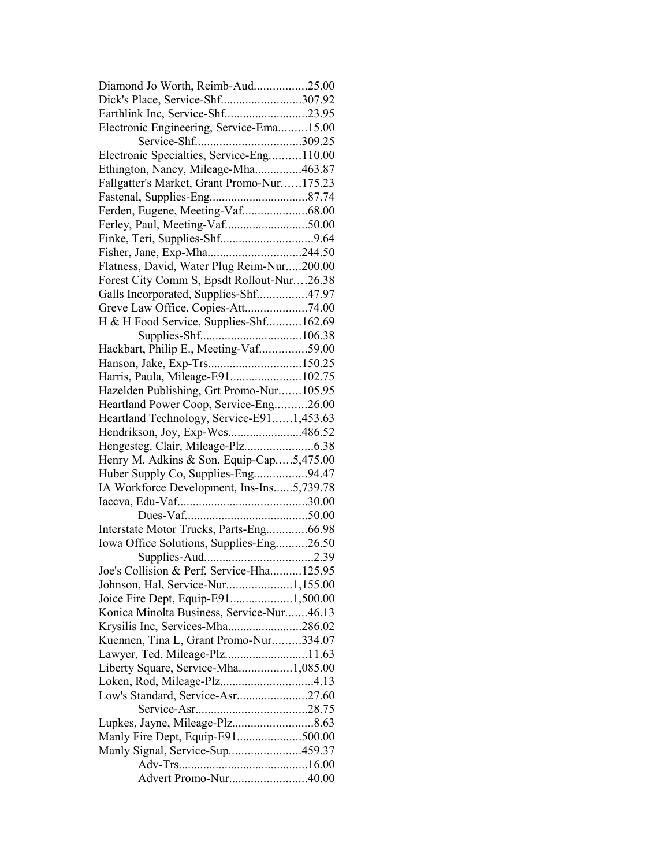| Diamond Jo Worth, Reimb-Aud25.00                                        |  |
|-------------------------------------------------------------------------|--|
| Dick's Place, Service-Shf307.92                                         |  |
| Earthlink Inc, Service-Shf23.95                                         |  |
| Electronic Engineering, Service-Ema15.00                                |  |
|                                                                         |  |
| Electronic Specialties, Service-Eng110.00                               |  |
| Ethington, Nancy, Mileage-Mha463.87                                     |  |
| Fallgatter's Market, Grant Promo-Nur175.23                              |  |
|                                                                         |  |
| Ferden, Eugene, Meeting-Vaf68.00                                        |  |
|                                                                         |  |
|                                                                         |  |
|                                                                         |  |
| Flatness, David, Water Plug Reim-Nur200.00                              |  |
| Forest City Comm S, Epsdt Rollout-Nur26.38                              |  |
| Galls Incorporated, Supplies-Shf47.97                                   |  |
| Greve Law Office, Copies-Att74.00                                       |  |
| H & H Food Service, Supplies-Shf162.69                                  |  |
|                                                                         |  |
| Hackbart, Philip E., Meeting-Vaf59.00                                   |  |
| Hanson, Jake, Exp-Trs150.25                                             |  |
| Harris, Paula, Mileage-E91102.75                                        |  |
| Hazelden Publishing, Grt Promo-Nur105.95                                |  |
| Heartland Power Coop, Service-Eng26.00                                  |  |
| Heartland Technology, Service-E911,453.63                               |  |
| Hendrikson, Joy, Exp-Wcs486.52                                          |  |
|                                                                         |  |
| Henry M. Adkins & Son, Equip-Cap5,475.00                                |  |
| Huber Supply Co, Supplies-Eng94.47                                      |  |
| IA Workforce Development, Ins-Ins5,739.78                               |  |
|                                                                         |  |
|                                                                         |  |
| Interstate Motor Trucks, Parts-Eng66.98                                 |  |
|                                                                         |  |
| Iowa Office Solutions, Supplies-Eng26.50                                |  |
| Joe's Collision & Perf, Service-Hha125.95                               |  |
|                                                                         |  |
| Johnson, Hal, Service-Nur1,155.00<br>Joice Fire Dept, Equip-E911,500.00 |  |
| Konica Minolta Business, Service-Nur46.13                               |  |
|                                                                         |  |
| Krysilis Inc, Services-Mha286.02                                        |  |
| Kuennen, Tina L, Grant Promo-Nur334.07                                  |  |
| Lawyer, Ted, Mileage-Plz11.63                                           |  |
| Liberty Square, Service-Mha1,085.00                                     |  |
|                                                                         |  |
| Low's Standard, Service-Asr27.60                                        |  |
|                                                                         |  |
|                                                                         |  |
| Manly Fire Dept, Equip-E91500.00                                        |  |
| Manly Signal, Service-Sup459.37                                         |  |
|                                                                         |  |
| Advert Promo-Nur40.00                                                   |  |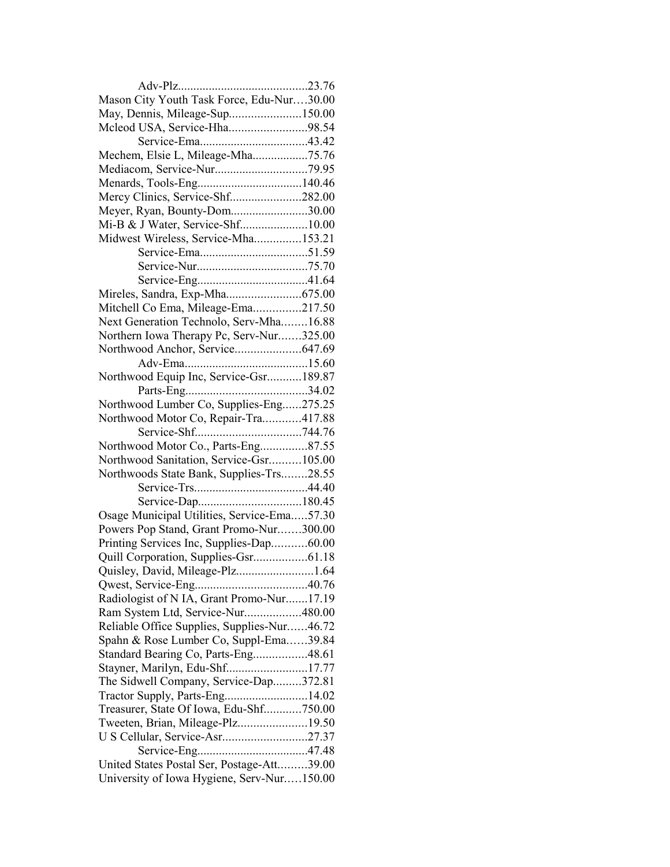| Mason City Youth Task Force, Edu-Nur30.00   |  |
|---------------------------------------------|--|
| May, Dennis, Mileage-Sup150.00              |  |
| Mcleod USA, Service-Hha98.54                |  |
|                                             |  |
| Mechem, Elsie L, Mileage-Mha75.76           |  |
|                                             |  |
|                                             |  |
| Mercy Clinics, Service-Shf282.00            |  |
| Meyer, Ryan, Bounty-Dom30.00                |  |
| Mi-B & J Water, Service-Shf10.00            |  |
| Midwest Wireless, Service-Mha153.21         |  |
|                                             |  |
|                                             |  |
|                                             |  |
|                                             |  |
|                                             |  |
| Mitchell Co Ema, Mileage-Ema217.50          |  |
| Next Generation Technolo, Serv-Mha16.88     |  |
| Northern Iowa Therapy Pc, Serv-Nur325.00    |  |
|                                             |  |
|                                             |  |
| Northwood Equip Inc, Service-Gsr189.87      |  |
|                                             |  |
| Northwood Lumber Co, Supplies-Eng275.25     |  |
| Northwood Motor Co, Repair-Tra417.88        |  |
|                                             |  |
| Northwood Motor Co., Parts-Eng87.55         |  |
| Northwood Sanitation, Service-Gsr105.00     |  |
| Northwoods State Bank, Supplies-Trs28.55    |  |
|                                             |  |
|                                             |  |
| Osage Municipal Utilities, Service-Ema57.30 |  |
| Powers Pop Stand, Grant Promo-Nur300.00     |  |
| Printing Services Inc, Supplies-Dap60.00    |  |
|                                             |  |
| Quisley, David, Mileage-Plz1.64             |  |
|                                             |  |
| Radiologist of N IA, Grant Promo-Nur17.19   |  |
| Ram System Ltd, Service-Nur480.00           |  |
| Reliable Office Supplies, Supplies-Nur46.72 |  |
| Spahn & Rose Lumber Co, Suppl-Ema39.84      |  |
|                                             |  |
| Standard Bearing Co, Parts-Eng48.61         |  |
| Stayner, Marilyn, Edu-Shf17.77              |  |
| The Sidwell Company, Service-Dap372.81      |  |
| Tractor Supply, Parts-Eng14.02              |  |
| Treasurer, State Of Iowa, Edu-Shf750.00     |  |
| Tweeten, Brian, Mileage-Plz19.50            |  |
| U S Cellular, Service-Asr27.37              |  |
|                                             |  |
| United States Postal Ser, Postage-Att39.00  |  |
| University of Iowa Hygiene, Serv-Nur150.00  |  |